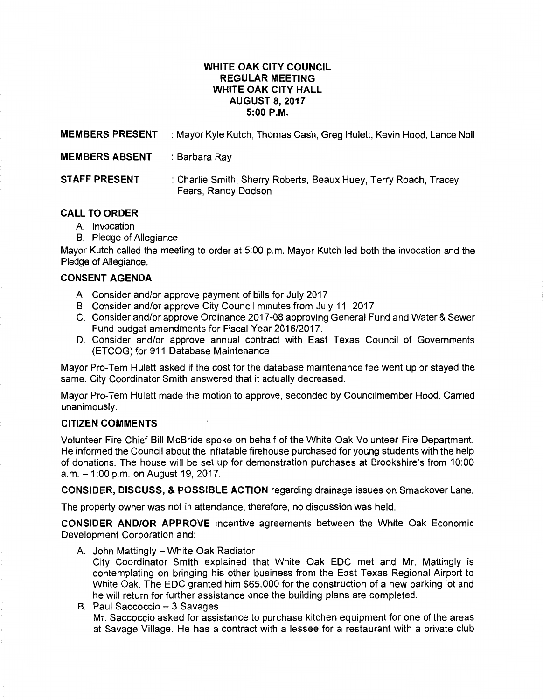# **WHITE OAK CITY COUNCIL REGULAR MEETING WHITE OAK CITY HALL AUGUST 8, 2017 5:00P.M.**

**MEMBERS PRESENT** : Mayor Kyle Kutch, Thomas Cash, Greg Hulett, Kevin Hood, Lance Noll

**MEMBERS ABSENT** : Barbara Ray

**STAFF PRESENT** : Charlie Smith, Sherry Roberts, Beaux Huey, Terry Roach, Tracey Fears, Randy Dodson

# **CALL TO ORDER**

- A. Invocation
- B. Pledge of Allegiance

Mayor Kutch called the meeting to order at 5:00 p.m. Mayor Kutch led both the invocation and the Pledge of Allegiance.

# **CONSENT AGENDA**

- A. Consider and/or approve payment of bills for July 2017
- B. Consider and/or approve City Council minutes from July 11, 2017
- C. Consider and/or approve Ordinance 2017-08 approving General Fund and Water & Sewer Fund budget amendments for Fiscal Year 2016/2017.
- D. Consider and/or approve annual contract with East Texas Council of Governments (ETCOG) for 911 Database Maintenance

Mayor Pro-Tem Hulett asked if the cost for the database maintenance fee went up or stayed the same. City Coordinator Smith answered that it actually decreased.

Mayor Pro-Tem Hulett made the motion to approve, seconded by Councilmember Hood. Carried unanimously.

### **CITIZEN COMMENTS**

Volunteer Fire Chief Bill McBride spoke on behalf of the White Oak Volunteer Fire Department. He informed the Council about the inflatable firehouse purchased for young students with the help of donations. The house will be set up for demonstration purchases at Brookshire's from 10:00 a.m. -1:00 p.m. on August 19, 2017.

**CONSIDER, DISCUSS, & POSSIBLE ACTION** regarding drainage issues on Smackover Lane.

The property owner was not in attendance; therefore, no discussion was held.

**CONSIDER AND/OR APPROVE** incentive agreements between the White Oak Economic Development Corporation and:

A. John Mattingly - White Oak Radiator

City Coordinator Smith explained that White Oak EDC met and Mr. Mattingly is contemplating on bringing his other business from the East Texas Regional Airport to White Oak. The EDC granted him \$65,000 for the construction of a new parking lot and he will return for further assistance once the building plans are completed.

B. Paul Saccoccio - 3 Savages Mr. Saccoccio asked for assistance to purchase kitchen equipment for one of the areas at Savage Village. He has a contract with a lessee for a restaurant with a private club